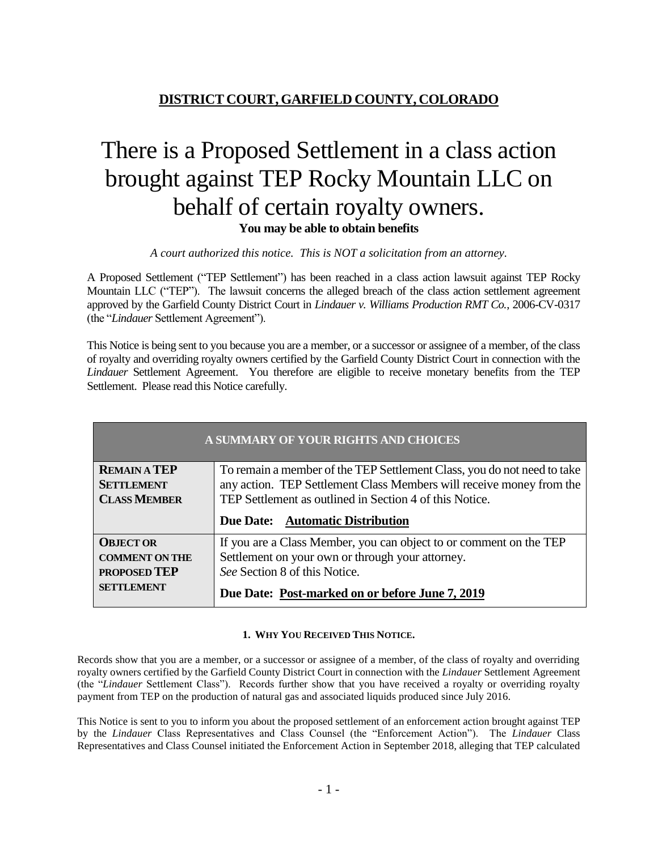## **DISTRICT COURT, GARFIELD COUNTY, COLORADO**

# There is a Proposed Settlement in a class action brought against TEP Rocky Mountain LLC on behalf of certain royalty owners. **You may be able to obtain benefits**

*A court authorized this notice. This is NOT a solicitation from an attorney.*

A Proposed Settlement ("TEP Settlement") has been reached in a class action lawsuit against TEP Rocky Mountain LLC ("TEP"). The lawsuit concerns the alleged breach of the class action settlement agreement approved by the Garfield County District Court in *Lindauer v. Williams Production RMT Co.*, 2006-CV-0317 (the "*Lindauer* Settlement Agreement").

This Notice is being sent to you because you are a member, or a successor or assignee of a member, of the class of royalty and overriding royalty owners certified by the Garfield County District Court in connection with the *Lindauer* Settlement Agreement. You therefore are eligible to receive monetary benefits from the TEP Settlement. Please read this Notice carefully.

| A SUMMARY OF YOUR RIGHTS AND CHOICES |                                                                         |
|--------------------------------------|-------------------------------------------------------------------------|
| <b>REMAIN A TEP</b>                  | To remain a member of the TEP Settlement Class, you do not need to take |
| <b>SETTLEMENT</b>                    | any action. TEP Settlement Class Members will receive money from the    |
| <b>CLASS MEMBER</b>                  | TEP Settlement as outlined in Section 4 of this Notice.                 |
|                                      | Due Date: Automatic Distribution                                        |
|                                      |                                                                         |
| <b>OBJECT OR</b>                     | If you are a Class Member, you can object to or comment on the TEP      |
| <b>COMMENT ON THE</b>                | Settlement on your own or through your attorney.                        |
| <b>PROPOSED TEP</b>                  | See Section 8 of this Notice.                                           |

### **1. WHY YOU RECEIVED THIS NOTICE.**

Records show that you are a member, or a successor or assignee of a member, of the class of royalty and overriding royalty owners certified by the Garfield County District Court in connection with the *Lindauer* Settlement Agreement (the "*Lindauer* Settlement Class"). Records further show that you have received a royalty or overriding royalty payment from TEP on the production of natural gas and associated liquids produced since July 2016.

This Notice is sent to you to inform you about the proposed settlement of an enforcement action brought against TEP by the *Lindauer* Class Representatives and Class Counsel (the "Enforcement Action"). The *Lindauer* Class Representatives and Class Counsel initiated the Enforcement Action in September 2018, alleging that TEP calculated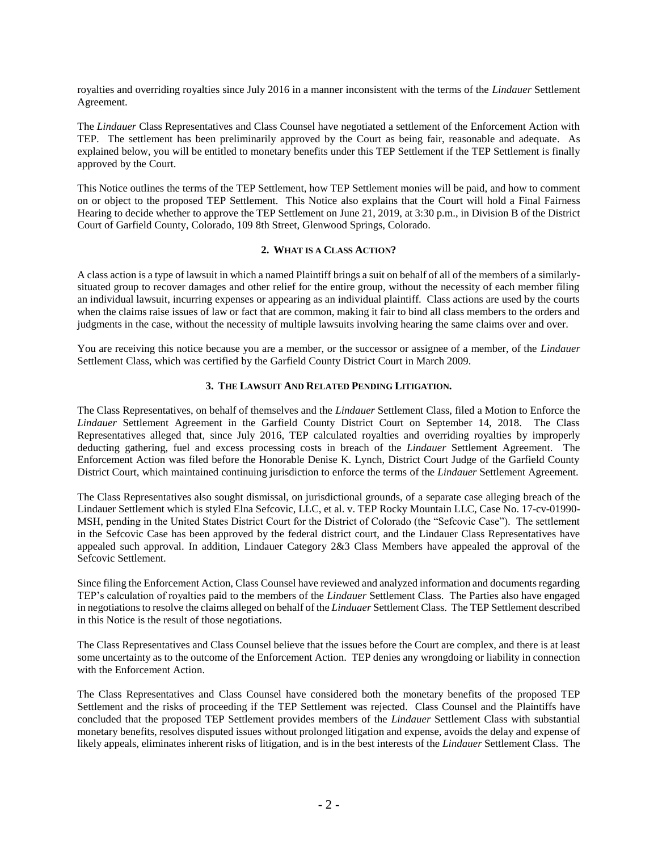royalties and overriding royalties since July 2016 in a manner inconsistent with the terms of the *Lindauer* Settlement Agreement.

The *Lindauer* Class Representatives and Class Counsel have negotiated a settlement of the Enforcement Action with TEP. The settlement has been preliminarily approved by the Court as being fair, reasonable and adequate. As explained below, you will be entitled to monetary benefits under this TEP Settlement if the TEP Settlement is finally approved by the Court.

This Notice outlines the terms of the TEP Settlement, how TEP Settlement monies will be paid, and how to comment on or object to the proposed TEP Settlement. This Notice also explains that the Court will hold a Final Fairness Hearing to decide whether to approve the TEP Settlement on June 21, 2019, at 3:30 p.m., in Division B of the District Court of Garfield County, Colorado, 109 8th Street, Glenwood Springs, Colorado.

### **2. WHAT IS A CLASS ACTION?**

A class action is a type of lawsuit in which a named Plaintiff brings a suit on behalf of all of the members of a similarlysituated group to recover damages and other relief for the entire group, without the necessity of each member filing an individual lawsuit, incurring expenses or appearing as an individual plaintiff. Class actions are used by the courts when the claims raise issues of law or fact that are common, making it fair to bind all class members to the orders and judgments in the case, without the necessity of multiple lawsuits involving hearing the same claims over and over.

You are receiving this notice because you are a member, or the successor or assignee of a member, of the *Lindauer*  Settlement Class, which was certified by the Garfield County District Court in March 2009.

### **3. THE LAWSUIT AND RELATED PENDING LITIGATION.**

The Class Representatives, on behalf of themselves and the *Lindauer* Settlement Class, filed a Motion to Enforce the *Lindauer* Settlement Agreement in the Garfield County District Court on September 14, 2018. The Class Representatives alleged that, since July 2016, TEP calculated royalties and overriding royalties by improperly deducting gathering, fuel and excess processing costs in breach of the *Lindauer* Settlement Agreement. The Enforcement Action was filed before the Honorable Denise K. Lynch, District Court Judge of the Garfield County District Court, which maintained continuing jurisdiction to enforce the terms of the *Lindauer* Settlement Agreement.

The Class Representatives also sought dismissal, on jurisdictional grounds, of a separate case alleging breach of the Lindauer Settlement which is styled Elna Sefcovic, LLC, et al. v. TEP Rocky Mountain LLC, Case No. 17-cv-01990- MSH, pending in the United States District Court for the District of Colorado (the "Sefcovic Case"). The settlement in the Sefcovic Case has been approved by the federal district court, and the Lindauer Class Representatives have appealed such approval. In addition, Lindauer Category 2&3 Class Members have appealed the approval of the Sefcovic Settlement.

Since filing the Enforcement Action, Class Counsel have reviewed and analyzed information and documents regarding TEP's calculation of royalties paid to the members of the *Lindauer* Settlement Class. The Parties also have engaged in negotiations to resolve the claims alleged on behalf of the *Linduaer* Settlement Class. The TEP Settlement described in this Notice is the result of those negotiations.

The Class Representatives and Class Counsel believe that the issues before the Court are complex, and there is at least some uncertainty as to the outcome of the Enforcement Action. TEP denies any wrongdoing or liability in connection with the Enforcement Action.

The Class Representatives and Class Counsel have considered both the monetary benefits of the proposed TEP Settlement and the risks of proceeding if the TEP Settlement was rejected. Class Counsel and the Plaintiffs have concluded that the proposed TEP Settlement provides members of the *Lindauer* Settlement Class with substantial monetary benefits, resolves disputed issues without prolonged litigation and expense, avoids the delay and expense of likely appeals, eliminates inherent risks of litigation, and is in the best interests of the *Lindauer* Settlement Class. The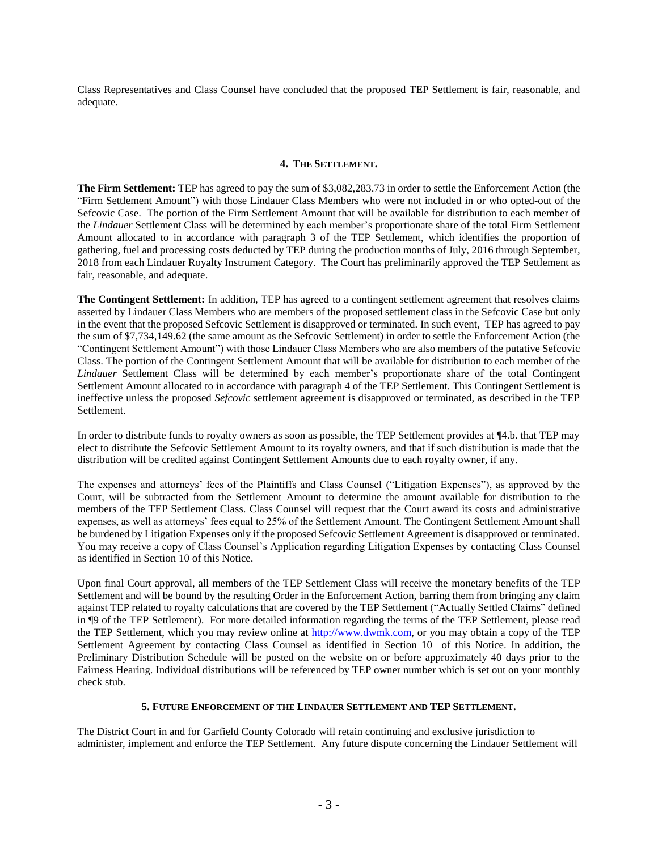Class Representatives and Class Counsel have concluded that the proposed TEP Settlement is fair, reasonable, and adequate.

### **4. THE SETTLEMENT.**

**The Firm Settlement:** TEP has agreed to pay the sum of \$3,082,283.73 in order to settle the Enforcement Action (the "Firm Settlement Amount") with those Lindauer Class Members who were not included in or who opted-out of the Sefcovic Case. The portion of the Firm Settlement Amount that will be available for distribution to each member of the *Lindauer* Settlement Class will be determined by each member's proportionate share of the total Firm Settlement Amount allocated to in accordance with paragraph 3 of the TEP Settlement, which identifies the proportion of gathering, fuel and processing costs deducted by TEP during the production months of July, 2016 through September, 2018 from each Lindauer Royalty Instrument Category. The Court has preliminarily approved the TEP Settlement as fair, reasonable, and adequate.

**The Contingent Settlement:** In addition, TEP has agreed to a contingent settlement agreement that resolves claims asserted by Lindauer Class Members who are members of the proposed settlement class in the Sefcovic Case but only in the event that the proposed Sefcovic Settlement is disapproved or terminated. In such event, TEP has agreed to pay the sum of \$7,734,149.62 (the same amount as the Sefcovic Settlement) in order to settle the Enforcement Action (the "Contingent Settlement Amount") with those Lindauer Class Members who are also members of the putative Sefcovic Class. The portion of the Contingent Settlement Amount that will be available for distribution to each member of the *Lindauer* Settlement Class will be determined by each member's proportionate share of the total Contingent Settlement Amount allocated to in accordance with paragraph 4 of the TEP Settlement. This Contingent Settlement is ineffective unless the proposed *Sefcovic* settlement agreement is disapproved or terminated, as described in the TEP Settlement.

In order to distribute funds to royalty owners as soon as possible, the TEP Settlement provides at ¶4.b. that TEP may elect to distribute the Sefcovic Settlement Amount to its royalty owners, and that if such distribution is made that the distribution will be credited against Contingent Settlement Amounts due to each royalty owner, if any.

The expenses and attorneys' fees of the Plaintiffs and Class Counsel ("Litigation Expenses"), as approved by the Court, will be subtracted from the Settlement Amount to determine the amount available for distribution to the members of the TEP Settlement Class. Class Counsel will request that the Court award its costs and administrative expenses, as well as attorneys' fees equal to 25% of the Settlement Amount. The Contingent Settlement Amount shall be burdened by Litigation Expenses only if the proposed Sefcovic Settlement Agreement is disapproved or terminated. You may receive a copy of Class Counsel's Application regarding Litigation Expenses by contacting Class Counsel as identified in Section 10 of this Notice.

Upon final Court approval, all members of the TEP Settlement Class will receive the monetary benefits of the TEP Settlement and will be bound by the resulting Order in the Enforcement Action, barring them from bringing any claim against TEP related to royalty calculations that are covered by the TEP Settlement ("Actually Settled Claims" defined in ¶9 of the TEP Settlement). For more detailed information regarding the terms of the TEP Settlement, please read the TEP Settlement, which you may review online at [http://www.dwmk.com,](http://www.dwmk.com/) or you may obtain a copy of the TEP Settlement Agreement by contacting Class Counsel as identified in Section 10 of this Notice. In addition, the Preliminary Distribution Schedule will be posted on the website on or before approximately 40 days prior to the Fairness Hearing. Individual distributions will be referenced by TEP owner number which is set out on your monthly check stub.

### **5. FUTURE ENFORCEMENT OF THE LINDAUER SETTLEMENT AND TEP SETTLEMENT.**

The District Court in and for Garfield County Colorado will retain continuing and exclusive jurisdiction to administer, implement and enforce the TEP Settlement. Any future dispute concerning the Lindauer Settlement will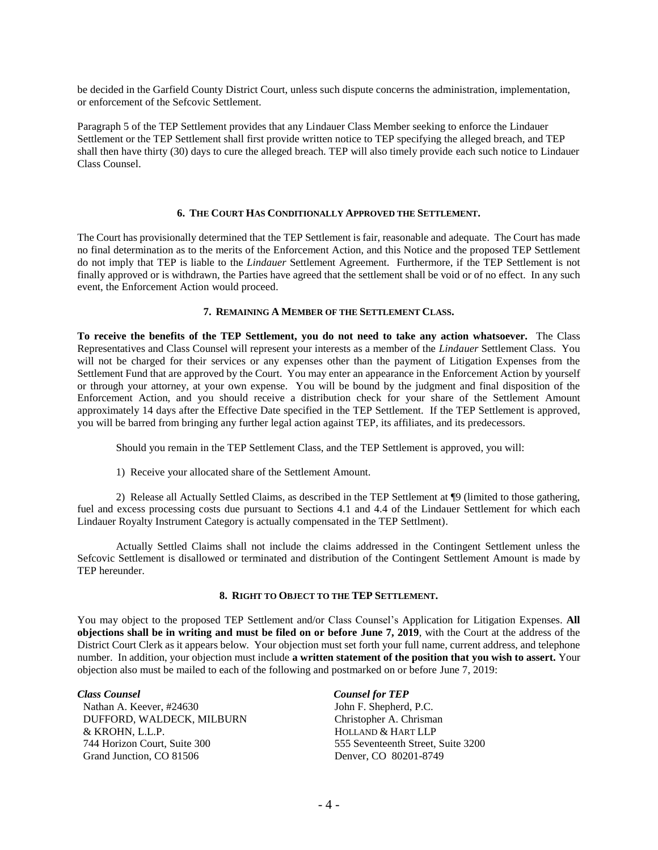be decided in the Garfield County District Court, unless such dispute concerns the administration, implementation, or enforcement of the Sefcovic Settlement.

Paragraph 5 of the TEP Settlement provides that any Lindauer Class Member seeking to enforce the Lindauer Settlement or the TEP Settlement shall first provide written notice to TEP specifying the alleged breach, and TEP shall then have thirty (30) days to cure the alleged breach. TEP will also timely provide each such notice to Lindauer Class Counsel.

### **6. THE COURT HAS CONDITIONALLY APPROVED THE SETTLEMENT.**

The Court has provisionally determined that the TEP Settlement is fair, reasonable and adequate. The Court has made no final determination as to the merits of the Enforcement Action, and this Notice and the proposed TEP Settlement do not imply that TEP is liable to the *Lindauer* Settlement Agreement. Furthermore, if the TEP Settlement is not finally approved or is withdrawn, the Parties have agreed that the settlement shall be void or of no effect. In any such event, the Enforcement Action would proceed.

### **7. REMAINING A MEMBER OF THE SETTLEMENT CLASS.**

**To receive the benefits of the TEP Settlement, you do not need to take any action whatsoever.** The Class Representatives and Class Counsel will represent your interests as a member of the *Lindauer* Settlement Class. You will not be charged for their services or any expenses other than the payment of Litigation Expenses from the Settlement Fund that are approved by the Court. You may enter an appearance in the Enforcement Action by yourself or through your attorney, at your own expense. You will be bound by the judgment and final disposition of the Enforcement Action, and you should receive a distribution check for your share of the Settlement Amount approximately 14 days after the Effective Date specified in the TEP Settlement. If the TEP Settlement is approved, you will be barred from bringing any further legal action against TEP, its affiliates, and its predecessors.

Should you remain in the TEP Settlement Class, and the TEP Settlement is approved, you will:

1) Receive your allocated share of the Settlement Amount.

2) Release all Actually Settled Claims, as described in the TEP Settlement at ¶9 (limited to those gathering, fuel and excess processing costs due pursuant to Sections 4.1 and 4.4 of the Lindauer Settlement for which each Lindauer Royalty Instrument Category is actually compensated in the TEP Settlment).

Actually Settled Claims shall not include the claims addressed in the Contingent Settlement unless the Sefcovic Settlement is disallowed or terminated and distribution of the Contingent Settlement Amount is made by TEP hereunder.

### **8. RIGHT TO OBJECT TO THE TEP SETTLEMENT.**

You may object to the proposed TEP Settlement and/or Class Counsel's Application for Litigation Expenses. **All objections shall be in writing and must be filed on or before June 7, 2019**, with the Court at the address of the District Court Clerk as it appears below. Your objection must set forth your full name, current address, and telephone number. In addition, your objection must include **a written statement of the position that you wish to assert.** Your objection also must be mailed to each of the following and postmarked on or before June 7, 2019:

Nathan A. Keever, #24630 DUFFORD, WALDECK, MILBURN & KROHN, L.L.P. 744 Horizon Court, Suite 300 Grand Junction, CO 81506

*Class Counsel Counsel for TEP* John F. Shepherd, P.C. Christopher A. Chrisman HOLLAND & HART LLP 555 Seventeenth Street, Suite 3200 Denver, CO 80201-8749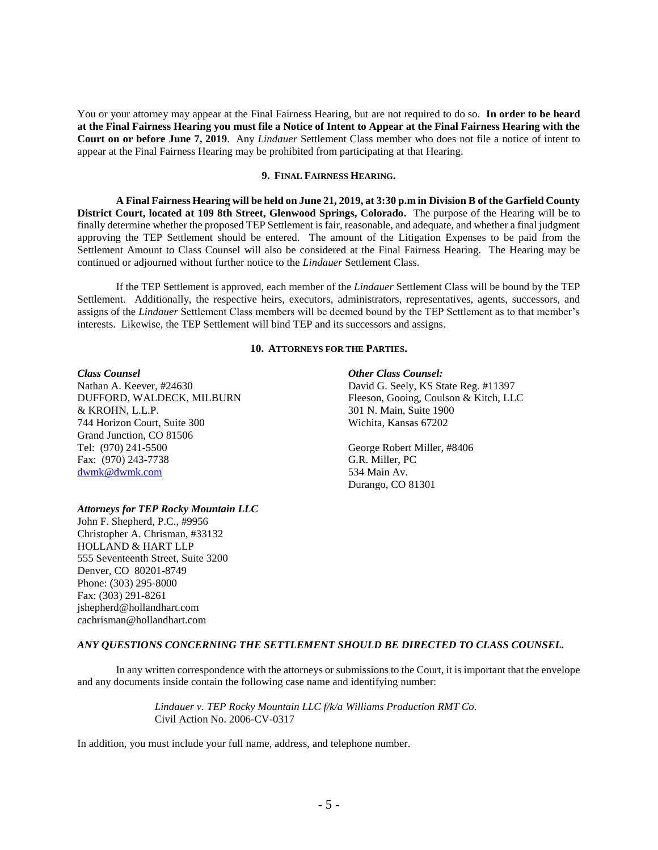You or your attorney may appear at the Final Fairness Hearing, but are not required to do so. **In order to be heard at the Final Fairness Hearing you must file a Notice of Intent to Appear at the Final Fairness Hearing with the Court on or before June 7, 2019**. Any *Lindauer* Settlement Class member who does not file a notice of intent to appear at the Final Fairness Hearing may be prohibited from participating at that Hearing.

### **9. FINAL FAIRNESS HEARING.**

**A Final Fairness Hearing will be held on June 21, 2019, at 3:30 p.m in Division B of the Garfield County District Court, located at 109 8th Street, Glenwood Springs, Colorado.** The purpose of the Hearing will be to finally determine whether the proposed TEP Settlement is fair, reasonable, and adequate, and whether a final judgment approving the TEP Settlement should be entered. The amount of the Litigation Expenses to be paid from the Settlement Amount to Class Counsel will also be considered at the Final Fairness Hearing. The Hearing may be continued or adjourned without further notice to the *Lindauer* Settlement Class.

If the TEP Settlement is approved, each member of the *Lindauer* Settlement Class will be bound by the TEP Settlement. Additionally, the respective heirs, executors, administrators, representatives, agents, successors, and assigns of the *Lindauer* Settlement Class members will be deemed bound by the TEP Settlement as to that member's interests. Likewise, the TEP Settlement will bind TEP and its successors and assigns.

### **10. ATTORNEYS FOR THE PARTIES.**

& KROHN, L.L.P. 301 N. Main, Suite 1900 744 Horizon Court, Suite 300 Wichita, Kansas 67202 Grand Junction, CO 81506 Tel: (970) 241-5500<br>
Fax: (970) 243-7738 G.R. Miller, PC Fax: (970) 243-7738 [dwmk@dwmk.com](mailto:dwmk@dwmk.com) 534 Main Av.

### *Attorneys for TEP Rocky Mountain LLC*

John F. Shepherd, P.C., #9956 Christopher A. Chrisman, #33132 HOLLAND & HART LLP 555 Seventeenth Street, Suite 3200 Denver, CO 80201-8749 Phone: (303) 295-8000 Fax: (303) 291-8261 jshepherd@hollandhart.com cachrisman@hollandhart.com

### *Class Counsel Other Class Counsel:*

Nathan A. Keever, #24630 David G. Seely, KS State Reg. #11397 DUFFORD, WALDECK, MILBURN Fleeson, Gooing, Coulson & Kitch, LLC

Durango, CO 81301

### *ANY QUESTIONS CONCERNING THE SETTLEMENT SHOULD BE DIRECTED TO CLASS COUNSEL.*

In any written correspondence with the attorneys or submissions to the Court, it is important that the envelope and any documents inside contain the following case name and identifying number:

> *Lindauer v. TEP Rocky Mountain LLC f/k/a Williams Production RMT Co.*  Civil Action No. 2006-CV-0317

In addition, you must include your full name, address, and telephone number.